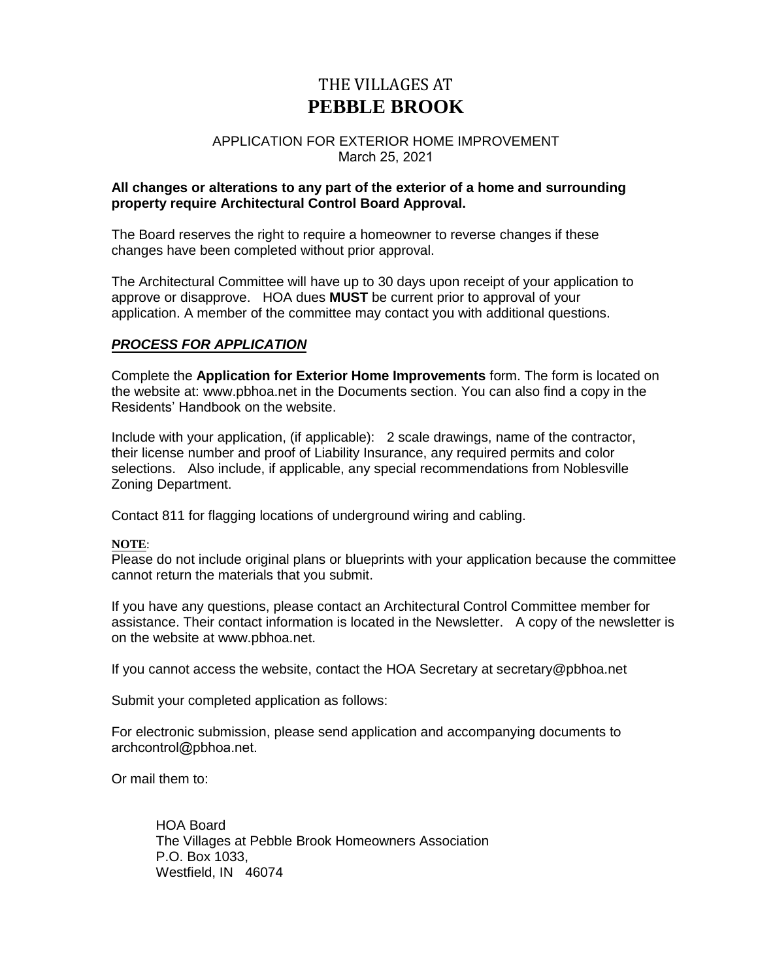# THE VILLAGES AT **PEBBLE BROOK**

## APPLICATION FOR EXTERIOR HOME IMPROVEMENT March 25, 2021

## **All changes or alterations to any part of the exterior of a home and surrounding property require Architectural Control Board Approval.**

The Board reserves the right to require a homeowner to reverse changes if these changes have been completed without prior approval.

The Architectural Committee will have up to 30 days upon receipt of your application to approve or disapprove. HOA dues **MUST** be current prior to approval of your application. A member of the committee may contact you with additional questions.

## *PROCESS FOR APPLICATION*

Complete the **Application for Exterior Home Improvements** form. The form is located on the website at: [www.pbhoa.net](http://www.pbhoa.net/) in the Documents section. You can also find a copy in the Residents' Handbook on the website.

Include with your application, (if applicable): 2 scale drawings, name of the contractor, their license number and proof of Liability Insurance, any required permits and color selections. Also include, if applicable, any special recommendations from Noblesville Zoning Department.

Contact 811 for flagging locations of underground wiring and cabling.

## **NOTE**:

Please do not include original plans or blueprints with your application because the committee cannot return the materials that you submit.

If you have any questions, please contact an Architectural Control Committee member for assistance. Their contact information is located in the Newsletter. A copy of the newsletter is on the website at www.pbhoa.net.

If you cannot access the website, contact the HOA Secretary at secretary@pbhoa.net

Submit your completed application as follows:

For electronic submission, please send application and accompanying documents to archcontrol@pbhoa.net.

Or mail them to:

HOA Board The Villages at Pebble Brook Homeowners Association P.O. Box 1033, Westfield, IN 46074